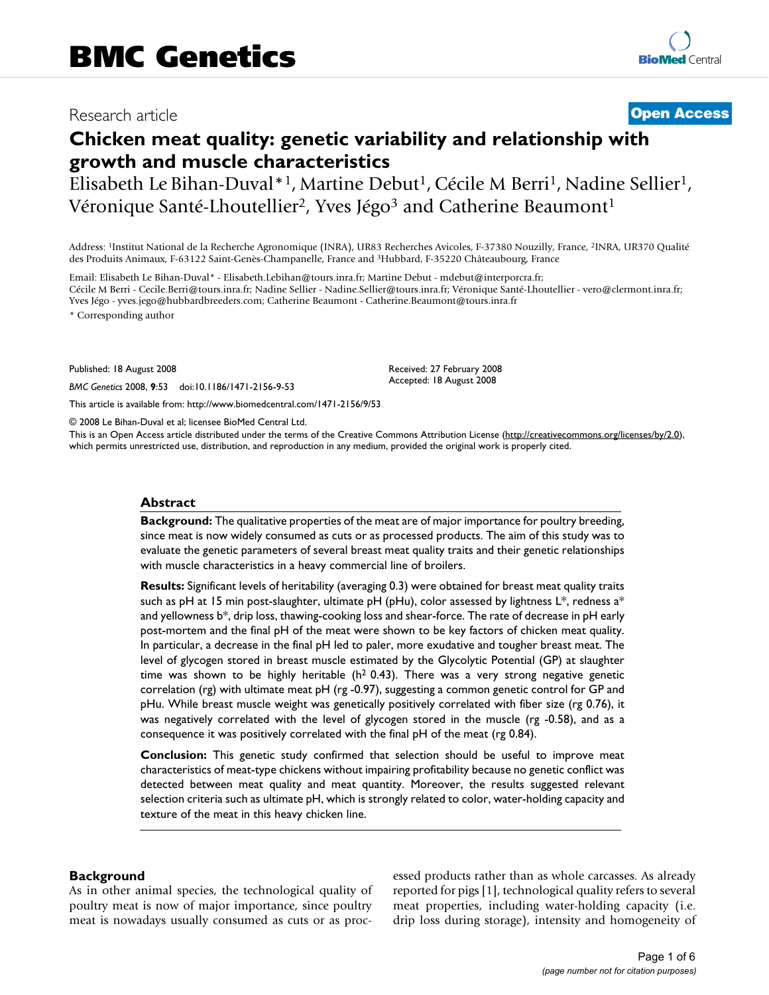# Research article **[Open Access](http://www.biomedcentral.com/info/about/charter/)**

# **Chicken meat quality: genetic variability and relationship with growth and muscle characteristics**

Elisabeth Le Bihan-Duval\*<sup>1</sup>, Martine Debut<sup>1</sup>, Cécile M Berri<sup>1</sup>, Nadine Sellier<sup>1</sup>, Véronique Santé-Lhoutellier<sup>2</sup>, Yves Jégo<sup>3</sup> and Catherine Beaumont<sup>1</sup>

Address: 1Institut National de la Recherche Agronomique (INRA), UR83 Recherches Avicoles, F-37380 Nouzilly, France, 2INRA, UR370 Qualité des Produits Animaux, F-63122 Saint-Genès-Champanelle, France and 3Hubbard, F-35220 Châteaubourg, France

Email: Elisabeth Le Bihan-Duval\* - Elisabeth.Lebihan@tours.inra.fr; Martine Debut - mdebut@interporcra.fr; Cécile M Berri - Cecile.Berri@tours.inra.fr; Nadine Sellier - Nadine.Sellier@tours.inra.fr; Véronique Santé-Lhoutellier - vero@clermont.inra.fr; Yves Jégo - yves.jego@hubbardbreeders.com; Catherine Beaumont - Catherine.Beaumont@tours.inra.fr \* Corresponding author

Published: 18 August 2008

*BMC Genetics* 2008, **9**:53 doi:10.1186/1471-2156-9-53

[This article is available from: http://www.biomedcentral.com/1471-2156/9/53](http://www.biomedcentral.com/1471-2156/9/53)

© 2008 Le Bihan-Duval et al; licensee BioMed Central Ltd.

This is an Open Access article distributed under the terms of the Creative Commons Attribution License [\(http://creativecommons.org/licenses/by/2.0\)](http://creativecommons.org/licenses/by/2.0), which permits unrestricted use, distribution, and reproduction in any medium, provided the original work is properly cited.

Received: 27 February 2008 Accepted: 18 August 2008

#### **Abstract**

**Background:** The qualitative properties of the meat are of major importance for poultry breeding, since meat is now widely consumed as cuts or as processed products. The aim of this study was to evaluate the genetic parameters of several breast meat quality traits and their genetic relationships with muscle characteristics in a heavy commercial line of broilers.

**Results:** Significant levels of heritability (averaging 0.3) were obtained for breast meat quality traits such as pH at 15 min post-slaughter, ultimate pH (pHu), color assessed by lightness L\*, redness a\* and yellowness b\*, drip loss, thawing-cooking loss and shear-force. The rate of decrease in pH early post-mortem and the final pH of the meat were shown to be key factors of chicken meat quality. In particular, a decrease in the final pH led to paler, more exudative and tougher breast meat. The level of glycogen stored in breast muscle estimated by the Glycolytic Potential (GP) at slaughter time was shown to be highly heritable ( $h^2$  0.43). There was a very strong negative genetic correlation (rg) with ultimate meat pH (rg -0.97), suggesting a common genetic control for GP and pHu. While breast muscle weight was genetically positively correlated with fiber size (rg 0.76), it was negatively correlated with the level of glycogen stored in the muscle (rg -0.58), and as a consequence it was positively correlated with the final pH of the meat (rg 0.84).

**Conclusion:** This genetic study confirmed that selection should be useful to improve meat characteristics of meat-type chickens without impairing profitability because no genetic conflict was detected between meat quality and meat quantity. Moreover, the results suggested relevant selection criteria such as ultimate pH, which is strongly related to color, water-holding capacity and texture of the meat in this heavy chicken line.

#### **Background**

As in other animal species, the technological quality of poultry meat is now of major importance, since poultry meat is nowadays usually consumed as cuts or as processed products rather than as whole carcasses. As already reported for pigs [1], technological quality refers to several meat properties, including water-holding capacity (i.e. drip loss during storage), intensity and homogeneity of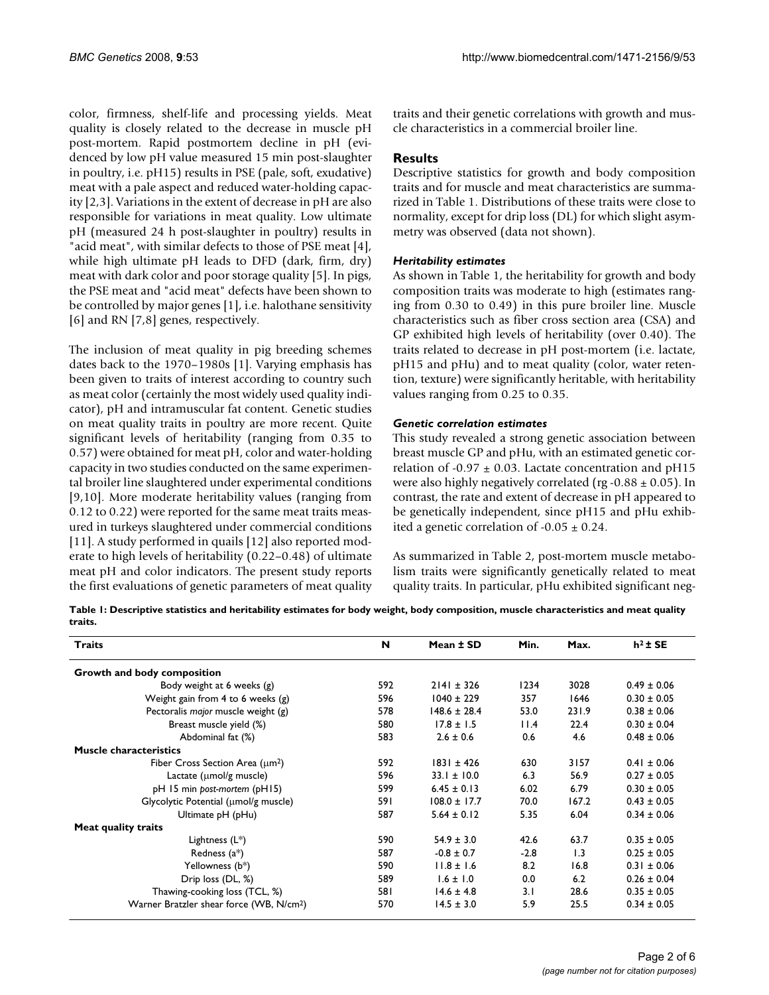color, firmness, shelf-life and processing yields. Meat quality is closely related to the decrease in muscle pH post-mortem. Rapid postmortem decline in pH (evidenced by low pH value measured 15 min post-slaughter in poultry, i.e. pH15) results in PSE (pale, soft, exudative) meat with a pale aspect and reduced water-holding capacity [2,3]. Variations in the extent of decrease in pH are also responsible for variations in meat quality. Low ultimate pH (measured 24 h post-slaughter in poultry) results in "acid meat", with similar defects to those of PSE meat [4], while high ultimate pH leads to DFD (dark, firm, dry) meat with dark color and poor storage quality [5]. In pigs, the PSE meat and "acid meat" defects have been shown to be controlled by major genes [1], i.e. halothane sensitivity [6] and RN [7,8] genes, respectively.

The inclusion of meat quality in pig breeding schemes dates back to the 1970–1980s [1]. Varying emphasis has been given to traits of interest according to country such as meat color (certainly the most widely used quality indicator), pH and intramuscular fat content. Genetic studies on meat quality traits in poultry are more recent. Quite significant levels of heritability (ranging from 0.35 to 0.57) were obtained for meat pH, color and water-holding capacity in two studies conducted on the same experimental broiler line slaughtered under experimental conditions [9,10]. More moderate heritability values (ranging from 0.12 to 0.22) were reported for the same meat traits measured in turkeys slaughtered under commercial conditions [11]. A study performed in quails [12] also reported moderate to high levels of heritability (0.22–0.48) of ultimate meat pH and color indicators. The present study reports the first evaluations of genetic parameters of meat quality traits and their genetic correlations with growth and muscle characteristics in a commercial broiler line.

# **Results**

Descriptive statistics for growth and body composition traits and for muscle and meat characteristics are summarized in Table 1. Distributions of these traits were close to normality, except for drip loss (DL) for which slight asymmetry was observed (data not shown).

# *Heritability estimates*

As shown in Table 1, the heritability for growth and body composition traits was moderate to high (estimates ranging from 0.30 to 0.49) in this pure broiler line. Muscle characteristics such as fiber cross section area (CSA) and GP exhibited high levels of heritability (over 0.40). The traits related to decrease in pH post-mortem (i.e. lactate, pH15 and pHu) and to meat quality (color, water retention, texture) were significantly heritable, with heritability values ranging from 0.25 to 0.35.

# *Genetic correlation estimates*

This study revealed a strong genetic association between breast muscle GP and pHu, with an estimated genetic correlation of -0.97  $\pm$  0.03. Lactate concentration and pH15 were also highly negatively correlated (rg -0.88  $\pm$  0.05). In contrast, the rate and extent of decrease in pH appeared to be genetically independent, since pH15 and pHu exhibited a genetic correlation of  $-0.05 \pm 0.24$ .

As summarized in Table 2, post-mortem muscle metabolism traits were significantly genetically related to meat quality traits. In particular, pHu exhibited significant neg-

**Table 1: Descriptive statistics and heritability estimates for body weight, body composition, muscle characteristics and meat quality traits.**

| Traits                                               | N                       | Mean ± SD        | Min.   | Max.  | $h^2 \pm SE$    |
|------------------------------------------------------|-------------------------|------------------|--------|-------|-----------------|
| Growth and body composition                          |                         |                  |        |       |                 |
| Body weight at 6 weeks (g)                           | 592                     | $2141 \pm 326$   | 1234   | 3028  | $0.49 \pm 0.06$ |
| Weight gain from 4 to 6 weeks (g)                    | 596                     | $1040 \pm 229$   | 357    | 1646  | $0.30 \pm 0.05$ |
| Pectoralis major muscle weight (g)                   | 578<br>$148.6 \pm 28.4$ |                  | 53.0   | 231.9 | $0.38 \pm 0.06$ |
| Breast muscle yield (%)                              | 580<br>$17.8 \pm 1.5$   |                  | 11.4   | 22.4  | $0.30 \pm 0.04$ |
| Abdominal fat (%)                                    | 583<br>$2.6 \pm 0.6$    |                  | 0.6    | 4.6   | $0.48 \pm 0.06$ |
| <b>Muscle characteristics</b>                        |                         |                  |        |       |                 |
| Fiber Cross Section Area $(\mu m^2)$                 | 592<br>$1831 \pm 426$   |                  | 630    | 3157  | $0.41 \pm 0.06$ |
| Lactate (µmol/g muscle)                              | 596                     | $33.1 \pm 10.0$  | 6.3    | 56.9  | $0.27 \pm 0.05$ |
| pH 15 min post-mortem (pH15)                         | 599                     | $6.45 \pm 0.13$  | 6.02   | 6.79  | $0.30 \pm 0.05$ |
| Glycolytic Potential (umol/g muscle)                 | 591                     | $108.0 \pm 17.7$ | 70.0   | 167.2 | $0.43 \pm 0.05$ |
| Ultimate pH (pHu)                                    | 587                     | $5.64 \pm 0.12$  | 5.35   | 6.04  | $0.34 \pm 0.06$ |
| Meat quality traits                                  |                         |                  |        |       |                 |
| Lightness (L*)                                       | 590                     | $54.9 \pm 3.0$   | 42.6   | 63.7  | $0.35 \pm 0.05$ |
| Redness $(a^*)$                                      | 587                     | $-0.8 \pm 0.7$   | $-2.8$ | 1.3   | $0.25 \pm 0.05$ |
| Yellowness (b*)                                      | 590                     | $11.8 \pm 1.6$   | 8.2    | 16.8  | $0.31 \pm 0.06$ |
| Drip loss (DL, %)                                    | 589                     | $1.6 \pm 1.0$    | 0.0    | 6.2   | $0.26 \pm 0.04$ |
| Thawing-cooking loss (TCL, %)                        | 581                     | $14.6 \pm 4.8$   | 3.1    | 28.6  | $0.35 \pm 0.05$ |
| Warner Bratzler shear force (WB, N/cm <sup>2</sup> ) | 570                     | $14.5 \pm 3.0$   | 5.9    | 25.5  | $0.34 \pm 0.05$ |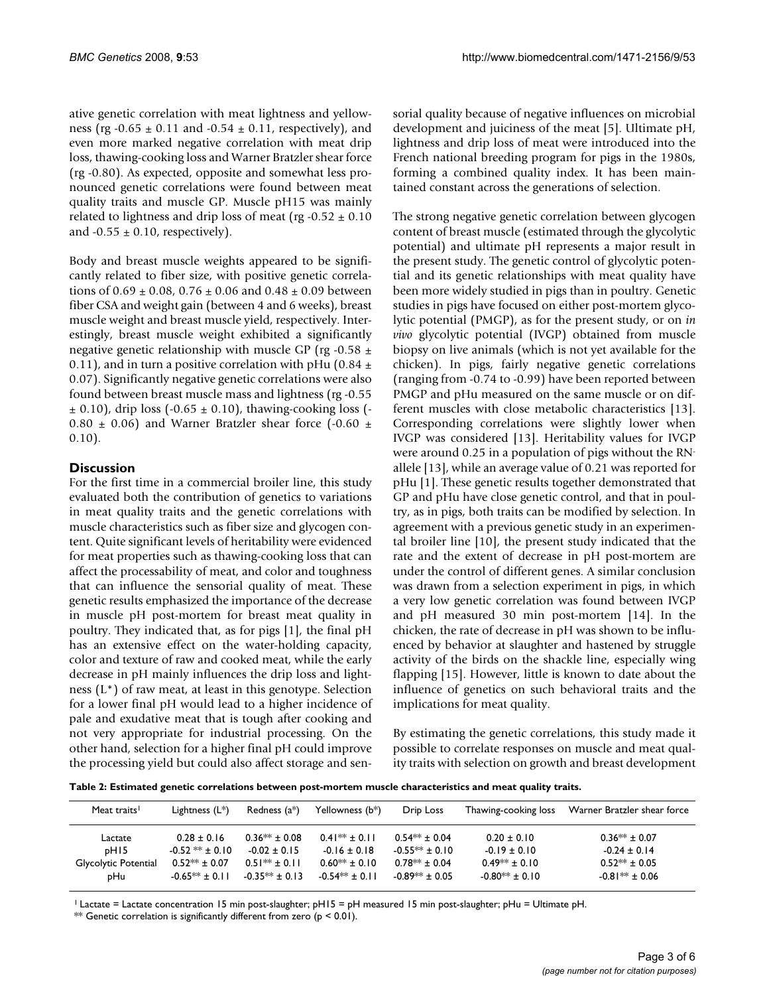ative genetic correlation with meat lightness and yellowness (rg  $-0.65 \pm 0.11$  and  $-0.54 \pm 0.11$ , respectively), and even more marked negative correlation with meat drip loss, thawing-cooking loss and Warner Bratzler shear force (rg -0.80). As expected, opposite and somewhat less pronounced genetic correlations were found between meat quality traits and muscle GP. Muscle pH15 was mainly related to lightness and drip loss of meat (rg  $-0.52 \pm 0.10$ ) and  $-0.55 \pm 0.10$ , respectively).

Body and breast muscle weights appeared to be significantly related to fiber size, with positive genetic correlations of  $0.69 \pm 0.08$ ,  $0.76 \pm 0.06$  and  $0.48 \pm 0.09$  between fiber CSA and weight gain (between 4 and 6 weeks), breast muscle weight and breast muscle yield, respectively. Interestingly, breast muscle weight exhibited a significantly negative genetic relationship with muscle GP (rg -0.58  $\pm$ 0.11), and in turn a positive correlation with pHu (0.84  $\pm$ 0.07). Significantly negative genetic correlations were also found between breast muscle mass and lightness (rg -0.55  $\pm$  0.10), drip loss (-0.65  $\pm$  0.10), thawing-cooking loss (- $0.80 \pm 0.06$ ) and Warner Bratzler shear force (-0.60  $\pm$ 0.10).

# **Discussion**

For the first time in a commercial broiler line, this study evaluated both the contribution of genetics to variations in meat quality traits and the genetic correlations with muscle characteristics such as fiber size and glycogen content. Quite significant levels of heritability were evidenced for meat properties such as thawing-cooking loss that can affect the processability of meat, and color and toughness that can influence the sensorial quality of meat. These genetic results emphasized the importance of the decrease in muscle pH post-mortem for breast meat quality in poultry. They indicated that, as for pigs [1], the final pH has an extensive effect on the water-holding capacity, color and texture of raw and cooked meat, while the early decrease in pH mainly influences the drip loss and lightness (L\*) of raw meat, at least in this genotype. Selection for a lower final pH would lead to a higher incidence of pale and exudative meat that is tough after cooking and not very appropriate for industrial processing. On the other hand, selection for a higher final pH could improve the processing yield but could also affect storage and sensorial quality because of negative influences on microbial development and juiciness of the meat [5]. Ultimate pH, lightness and drip loss of meat were introduced into the French national breeding program for pigs in the 1980s, forming a combined quality index. It has been maintained constant across the generations of selection.

The strong negative genetic correlation between glycogen content of breast muscle (estimated through the glycolytic potential) and ultimate pH represents a major result in the present study. The genetic control of glycolytic potential and its genetic relationships with meat quality have been more widely studied in pigs than in poultry. Genetic studies in pigs have focused on either post-mortem glycolytic potential (PMGP), as for the present study, or on *in vivo* glycolytic potential (IVGP) obtained from muscle biopsy on live animals (which is not yet available for the chicken). In pigs, fairly negative genetic correlations (ranging from -0.74 to -0.99) have been reported between PMGP and pHu measured on the same muscle or on different muscles with close metabolic characteristics [13]. Corresponding correlations were slightly lower when IVGP was considered [13]. Heritability values for IVGP were around 0.25 in a population of pigs without the RNallele [13], while an average value of 0.21 was reported for pHu [1]. These genetic results together demonstrated that GP and pHu have close genetic control, and that in poultry, as in pigs, both traits can be modified by selection. In agreement with a previous genetic study in an experimental broiler line [10], the present study indicated that the rate and the extent of decrease in pH post-mortem are under the control of different genes. A similar conclusion was drawn from a selection experiment in pigs, in which a very low genetic correlation was found between IVGP and pH measured 30 min post-mortem [14]. In the chicken, the rate of decrease in pH was shown to be influenced by behavior at slaughter and hastened by struggle activity of the birds on the shackle line, especially wing flapping [15]. However, little is known to date about the influence of genetics on such behavioral traits and the implications for meat quality.

By estimating the genetic correlations, this study made it possible to correlate responses on muscle and meat quality traits with selection on growth and breast development

**Table 2: Estimated genetic correlations between post-mortem muscle characteristics and meat quality traits.**

| Meat traits <sup>1</sup> | Lightness $(L^*)$     | Redness $(a^*)$   | Yellowness (b*)   | Drip Loss        | Thawing-cooking loss | Warner Bratzler shear force |
|--------------------------|-----------------------|-------------------|-------------------|------------------|----------------------|-----------------------------|
| Lactate                  | $0.28 \pm 0.16$       | $0.36** + 0.08$   | $0.41** \pm 0.11$ | $0.54** + 0.04$  | $0.20 \pm 0.10$      | $0.36** \pm 0.07$           |
| pH15                     | $-0.52$ ** $\pm 0.10$ | $-0.02 \pm 0.15$  | $-0.16 \pm 0.18$  | $-0.55** + 0.10$ | $-0.19 \pm 0.10$     | $-0.24 + 0.14$              |
| Glycolytic Potential     | $0.52** + 0.07$       | $0.51** \pm 0.11$ | $0.60** + 0.10$   | $0.78** + 0.04$  | $0.49** \pm 0.10$    | $0.52** + 0.05$             |
| pHu                      | $-0.65** + 0.11$      | $-0.35** + 0.13$  | $-0.54** + 0.11$  | $-0.89** + 0.05$ | $-0.80** \pm 0.10$   | $-0.81** \pm 0.06$          |

1 Lactate = Lactate concentration 15 min post-slaughter; pH15 = pH measured 15 min post-slaughter; pHu = Ultimate pH.

 $**$  Genetic correlation is significantly different from zero ( $p < 0.01$ ).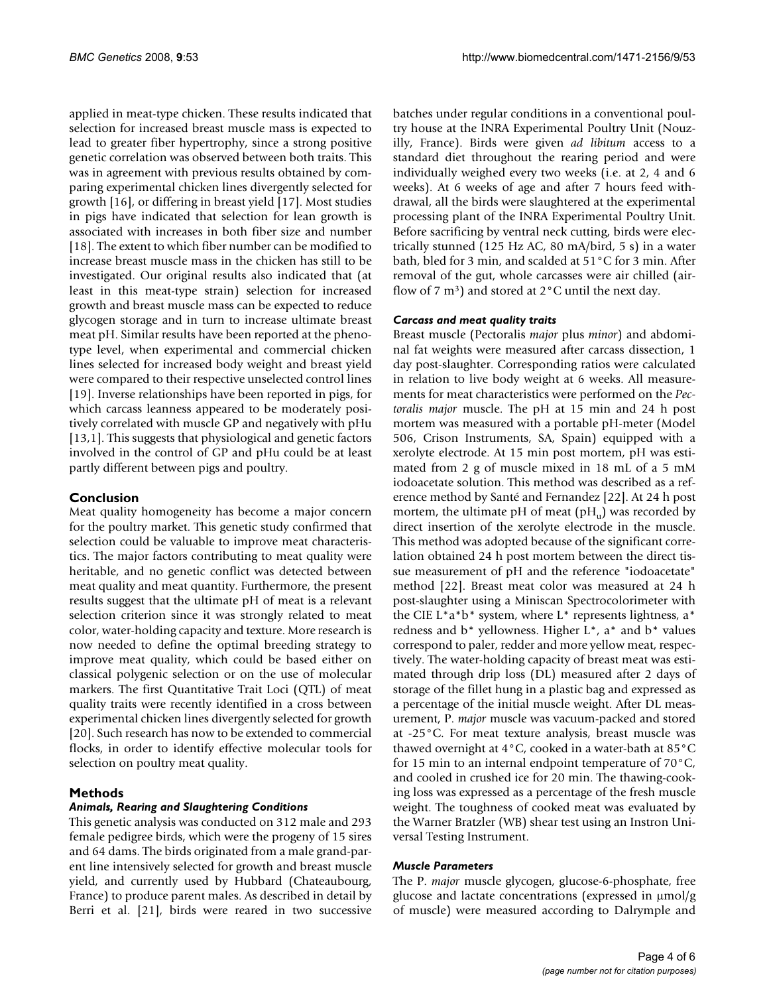applied in meat-type chicken. These results indicated that selection for increased breast muscle mass is expected to lead to greater fiber hypertrophy, since a strong positive genetic correlation was observed between both traits. This was in agreement with previous results obtained by comparing experimental chicken lines divergently selected for growth [16], or differing in breast yield [17]. Most studies in pigs have indicated that selection for lean growth is associated with increases in both fiber size and number [18]. The extent to which fiber number can be modified to increase breast muscle mass in the chicken has still to be investigated. Our original results also indicated that (at least in this meat-type strain) selection for increased growth and breast muscle mass can be expected to reduce glycogen storage and in turn to increase ultimate breast meat pH. Similar results have been reported at the phenotype level, when experimental and commercial chicken lines selected for increased body weight and breast yield were compared to their respective unselected control lines [19]. Inverse relationships have been reported in pigs, for which carcass leanness appeared to be moderately positively correlated with muscle GP and negatively with pHu [13,1]. This suggests that physiological and genetic factors involved in the control of GP and pHu could be at least partly different between pigs and poultry.

# **Conclusion**

Meat quality homogeneity has become a major concern for the poultry market. This genetic study confirmed that selection could be valuable to improve meat characteristics. The major factors contributing to meat quality were heritable, and no genetic conflict was detected between meat quality and meat quantity. Furthermore, the present results suggest that the ultimate pH of meat is a relevant selection criterion since it was strongly related to meat color, water-holding capacity and texture. More research is now needed to define the optimal breeding strategy to improve meat quality, which could be based either on classical polygenic selection or on the use of molecular markers. The first Quantitative Trait Loci (QTL) of meat quality traits were recently identified in a cross between experimental chicken lines divergently selected for growth [20]. Such research has now to be extended to commercial flocks, in order to identify effective molecular tools for selection on poultry meat quality.

# **Methods**

# *Animals, Rearing and Slaughtering Conditions*

This genetic analysis was conducted on 312 male and 293 female pedigree birds, which were the progeny of 15 sires and 64 dams. The birds originated from a male grand-parent line intensively selected for growth and breast muscle yield, and currently used by Hubbard (Chateaubourg, France) to produce parent males. As described in detail by Berri et al. [21], birds were reared in two successive

batches under regular conditions in a conventional poultry house at the INRA Experimental Poultry Unit (Nouzilly, France). Birds were given *ad libitum* access to a standard diet throughout the rearing period and were individually weighed every two weeks (i.e. at 2, 4 and 6 weeks). At 6 weeks of age and after 7 hours feed withdrawal, all the birds were slaughtered at the experimental processing plant of the INRA Experimental Poultry Unit. Before sacrificing by ventral neck cutting, birds were electrically stunned (125 Hz AC, 80 mA/bird, 5 s) in a water bath, bled for 3 min, and scalded at 51°C for 3 min. After removal of the gut, whole carcasses were air chilled (airflow of 7 m<sup>3</sup>) and stored at 2 $\degree$ C until the next day.

# *Carcass and meat quality traits*

Breast muscle (Pectoralis *major* plus *minor*) and abdominal fat weights were measured after carcass dissection, 1 day post-slaughter. Corresponding ratios were calculated in relation to live body weight at 6 weeks. All measurements for meat characteristics were performed on the *Pectoralis major* muscle. The pH at 15 min and 24 h post mortem was measured with a portable pH-meter (Model 506, Crison Instruments, SA, Spain) equipped with a xerolyte electrode. At 15 min post mortem, pH was estimated from 2 g of muscle mixed in 18 mL of a 5 mM iodoacetate solution. This method was described as a reference method by Santé and Fernandez [22]. At 24 h post mortem, the ultimate pH of meat  $(pH<sub>u</sub>)$  was recorded by direct insertion of the xerolyte electrode in the muscle. This method was adopted because of the significant correlation obtained 24 h post mortem between the direct tissue measurement of pH and the reference "iodoacetate" method [22]. Breast meat color was measured at 24 h post-slaughter using a Miniscan Spectrocolorimeter with the CIE L\*a\*b\* system, where L\* represents lightness, a\* redness and b\* yellowness. Higher L\*, a\* and b\* values correspond to paler, redder and more yellow meat, respectively. The water-holding capacity of breast meat was estimated through drip loss (DL) measured after 2 days of storage of the fillet hung in a plastic bag and expressed as a percentage of the initial muscle weight. After DL measurement, P. *major* muscle was vacuum-packed and stored at -25°C. For meat texture analysis, breast muscle was thawed overnight at 4°C, cooked in a water-bath at 85°C for 15 min to an internal endpoint temperature of 70°C, and cooled in crushed ice for 20 min. The thawing-cooking loss was expressed as a percentage of the fresh muscle weight. The toughness of cooked meat was evaluated by the Warner Bratzler (WB) shear test using an Instron Universal Testing Instrument.

#### *Muscle Parameters*

The P. *major* muscle glycogen, glucose-6-phosphate, free glucose and lactate concentrations (expressed in μmol/g of muscle) were measured according to Dalrymple and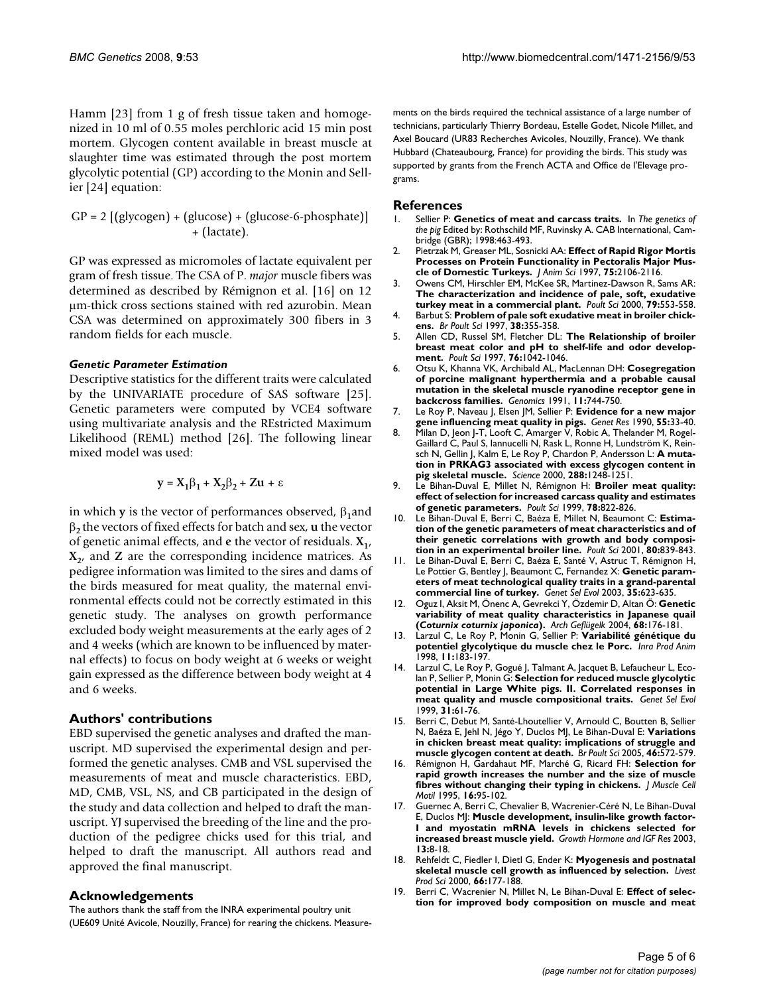Hamm [23] from 1 g of fresh tissue taken and homogenized in 10 ml of 0.55 moles perchloric acid 15 min post mortem. Glycogen content available in breast muscle at slaughter time was estimated through the post mortem glycolytic potential (GP) according to the Monin and Sellier [24] equation:

GP = 2 [(glycogen) + (glucose) + (glucose-6-phosphate)] + (lactate).

GP was expressed as micromoles of lactate equivalent per gram of fresh tissue. The CSA of P. *major* muscle fibers was determined as described by Rémignon et al. [16] on 12 μm-thick cross sections stained with red azurobin. Mean CSA was determined on approximately 300 fibers in 3 random fields for each muscle.

#### *Genetic Parameter Estimation*

Descriptive statistics for the different traits were calculated by the UNIVARIATE procedure of SAS software [25]. Genetic parameters were computed by VCE4 software using multivariate analysis and the REstricted Maximum Likelihood (REML) method [26]. The following linear mixed model was used:

$$
y = X_1\beta_1 + X_2\beta_2 + Zu + \epsilon
$$

in which **y** is the vector of performances observed, β**1**and β**2** the vectors of fixed effects for batch and sex, **u** the vector of genetic animal effects, and **e** the vector of residuals.  $X_1$ ,  $X_2$ , and **Z** are the corresponding incidence matrices. As pedigree information was limited to the sires and dams of the birds measured for meat quality, the maternal environmental effects could not be correctly estimated in this genetic study. The analyses on growth performance excluded body weight measurements at the early ages of 2 and 4 weeks (which are known to be influenced by maternal effects) to focus on body weight at 6 weeks or weight gain expressed as the difference between body weight at 4 and 6 weeks.

#### **Authors' contributions**

EBD supervised the genetic analyses and drafted the manuscript. MD supervised the experimental design and performed the genetic analyses. CMB and VSL supervised the measurements of meat and muscle characteristics. EBD, MD, CMB, VSL, NS, and CB participated in the design of the study and data collection and helped to draft the manuscript. YJ supervised the breeding of the line and the production of the pedigree chicks used for this trial, and helped to draft the manuscript. All authors read and approved the final manuscript.

#### **Acknowledgements**

The authors thank the staff from the INRA experimental poultry unit (UE609 Unité Avicole, Nouzilly, France) for rearing the chickens. Measurements on the birds required the technical assistance of a large number of technicians, particularly Thierry Bordeau, Estelle Godet, Nicole Millet, and Axel Boucard (UR83 Recherches Avicoles, Nouzilly, France). We thank Hubbard (Chateaubourg, France) for providing the birds. This study was supported by grants from the French ACTA and Office de l'Elevage programs.

#### **References**

- 1. Sellier P: **Genetics of meat and carcass traits.** In *The genetics of the pig* Edited by: Rothschild MF, Ruvinsky A. CAB International, Cambridge (GBR); 1998:463-493.
- 2. Pietrzak M, Greaser ML, Sosnicki AA: **[Effect of Rapid Rigor Mortis](http://www.ncbi.nlm.nih.gov/entrez/query.fcgi?cmd=Retrieve&db=PubMed&dopt=Abstract&list_uids=9263058) [Processes on Protein Functionality in Pectoralis Major Mus](http://www.ncbi.nlm.nih.gov/entrez/query.fcgi?cmd=Retrieve&db=PubMed&dopt=Abstract&list_uids=9263058)[cle of Domestic Turkeys.](http://www.ncbi.nlm.nih.gov/entrez/query.fcgi?cmd=Retrieve&db=PubMed&dopt=Abstract&list_uids=9263058)** *J Anim Sci* 1997, **75:**2106-2116.
- 3. Owens CM, Hirschler EM, McKee SR, Martinez-Dawson R, Sams AR: **[The characterization and incidence of pale, soft, exudative](http://www.ncbi.nlm.nih.gov/entrez/query.fcgi?cmd=Retrieve&db=PubMed&dopt=Abstract&list_uids=10780653) [turkey meat in a commercial plant.](http://www.ncbi.nlm.nih.gov/entrez/query.fcgi?cmd=Retrieve&db=PubMed&dopt=Abstract&list_uids=10780653)** *Poult Sci* 2000, **79:**553-558.
- 4. Barbut S: **[Problem of pale soft exudative meat in broiler chick](http://www.ncbi.nlm.nih.gov/entrez/query.fcgi?cmd=Retrieve&db=PubMed&dopt=Abstract&list_uids=9347142)[ens.](http://www.ncbi.nlm.nih.gov/entrez/query.fcgi?cmd=Retrieve&db=PubMed&dopt=Abstract&list_uids=9347142)** *Br Poult Sci* 1997, **38:**355-358.
- 5. Allen CD, Russel SM, Fletcher DL: **[The Relationship of broiler](http://www.ncbi.nlm.nih.gov/entrez/query.fcgi?cmd=Retrieve&db=PubMed&dopt=Abstract&list_uids=9200242) [breast meat color and pH to shelf-life and odor develop](http://www.ncbi.nlm.nih.gov/entrez/query.fcgi?cmd=Retrieve&db=PubMed&dopt=Abstract&list_uids=9200242)[ment.](http://www.ncbi.nlm.nih.gov/entrez/query.fcgi?cmd=Retrieve&db=PubMed&dopt=Abstract&list_uids=9200242)** *Poult Sci* 1997, **76:**1042-1046.
- 6. Otsu K, Khanna VK, Archibald AL, MacLennan DH: **[Cosegregation](http://www.ncbi.nlm.nih.gov/entrez/query.fcgi?cmd=Retrieve&db=PubMed&dopt=Abstract&list_uids=1774073) of porcine malignant hyperthermia and a probable causal [mutation in the skeletal muscle ryanodine receptor gene in](http://www.ncbi.nlm.nih.gov/entrez/query.fcgi?cmd=Retrieve&db=PubMed&dopt=Abstract&list_uids=1774073) [backcross families.](http://www.ncbi.nlm.nih.gov/entrez/query.fcgi?cmd=Retrieve&db=PubMed&dopt=Abstract&list_uids=1774073)** *Genomics* 1991, **11:**744-750.
- 7. Le Roy P, Naveau J, Elsen JM, Sellier P: **[Evidence for a new major](http://www.ncbi.nlm.nih.gov/entrez/query.fcgi?cmd=Retrieve&db=PubMed&dopt=Abstract&list_uids=2318414) [gene influencing meat quality in pigs.](http://www.ncbi.nlm.nih.gov/entrez/query.fcgi?cmd=Retrieve&db=PubMed&dopt=Abstract&list_uids=2318414)** *Genet Res* 1990, **55:**33-40.
- 8. Milan D, Jeon J-T, Looft C, Amarger V, Robic A, Thelander M, Rogel-Gaillard C, Paul S, Iannucelli N, Rask L, Ronne H, Lundström K, Reinsch N, Gellin J, Kalm E, Le Roy P, Chardon P, Andersson L: **[A muta](http://www.ncbi.nlm.nih.gov/entrez/query.fcgi?cmd=Retrieve&db=PubMed&dopt=Abstract&list_uids=10818001)[tion in PRKAG3 associated with excess glycogen content in](http://www.ncbi.nlm.nih.gov/entrez/query.fcgi?cmd=Retrieve&db=PubMed&dopt=Abstract&list_uids=10818001) [pig skeletal muscle.](http://www.ncbi.nlm.nih.gov/entrez/query.fcgi?cmd=Retrieve&db=PubMed&dopt=Abstract&list_uids=10818001)** *Science* 2000, **288:**1248-1251.
- 9. Le Bihan-Duval E, Millet N, Rémignon H: **[Broiler meat quality:](http://www.ncbi.nlm.nih.gov/entrez/query.fcgi?cmd=Retrieve&db=PubMed&dopt=Abstract&list_uids=10438124) [effect of selection for increased carcass quality and estimates](http://www.ncbi.nlm.nih.gov/entrez/query.fcgi?cmd=Retrieve&db=PubMed&dopt=Abstract&list_uids=10438124) [of genetic parameters.](http://www.ncbi.nlm.nih.gov/entrez/query.fcgi?cmd=Retrieve&db=PubMed&dopt=Abstract&list_uids=10438124)** *Poult Sci* 1999, **78:**822-826.
- 10. Le Bihan-Duval E, Berri C, Baéza E, Millet N, Beaumont C: **[Estima](http://www.ncbi.nlm.nih.gov/entrez/query.fcgi?cmd=Retrieve&db=PubMed&dopt=Abstract&list_uids=11469642)tion of the genetic parameters of meat characteristics and of [their genetic correlations with growth and body composi](http://www.ncbi.nlm.nih.gov/entrez/query.fcgi?cmd=Retrieve&db=PubMed&dopt=Abstract&list_uids=11469642)[tion in an experimental broiler line.](http://www.ncbi.nlm.nih.gov/entrez/query.fcgi?cmd=Retrieve&db=PubMed&dopt=Abstract&list_uids=11469642)** *Poult Sci* 2001, **80:**839-843.
- 11. Le Bihan-Duval E, Berri C, Baéza E, Santé V, Astruc T, Rémignon H, Le Pottier G, Bentley J, Beaumont C, Fernandez X: **[Genetic param](http://www.ncbi.nlm.nih.gov/entrez/query.fcgi?cmd=Retrieve&db=PubMed&dopt=Abstract&list_uids=14604511)[eters of meat technological quality traits in a grand-parental](http://www.ncbi.nlm.nih.gov/entrez/query.fcgi?cmd=Retrieve&db=PubMed&dopt=Abstract&list_uids=14604511) [commercial line of turkey.](http://www.ncbi.nlm.nih.gov/entrez/query.fcgi?cmd=Retrieve&db=PubMed&dopt=Abstract&list_uids=14604511)** *Genet Sel Evol* 2003, **35:**623-635.
- 12. Oguz I, Aksit M, Önenc A, Gevrekci Y, Özdemir D, Altan Ö: **Genetic variability of meat quality characteristics in Japanese quail (***Coturnix coturnix japonica***).** *Arch Geflügelk* 2004, **68:**176-181.
- 13. Larzul C, Le Roy P, Monin G, Sellier P: **Variabilité génétique du potentiel glycolytique du muscle chez le Porc.** *Inra Prod Anim* 1998, **11:**183-197.
- 14. Larzul C, Le Roy P, Gogué J, Talmant A, Jacquet B, Lefaucheur L, Ecolan P, Sellier P, Monin G: **Selection for reduced muscle glycolytic potential in Large White pigs. II. Correlated responses in meat quality and muscle compositional traits.** *Genet Sel Evol* 1999, **31:**61-76.
- 15. Berri C, Debut M, Santé-Lhoutellier V, Arnould C, Boutten B, Sellier N, Baéza E, Jehl N, Jégo Y, Duclos MJ, Le Bihan-Duval E: **[Variations](http://www.ncbi.nlm.nih.gov/entrez/query.fcgi?cmd=Retrieve&db=PubMed&dopt=Abstract&list_uids=16359110) [in chicken breast meat quality: implications of struggle and](http://www.ncbi.nlm.nih.gov/entrez/query.fcgi?cmd=Retrieve&db=PubMed&dopt=Abstract&list_uids=16359110) [muscle glycogen content at death.](http://www.ncbi.nlm.nih.gov/entrez/query.fcgi?cmd=Retrieve&db=PubMed&dopt=Abstract&list_uids=16359110)** *Br Poult Sci* 2005, **46:**572-579.
- 16. Rémignon H, Gardahaut MF, Marché G, Ricard FH: **[Selection for](http://www.ncbi.nlm.nih.gov/entrez/query.fcgi?cmd=Retrieve&db=PubMed&dopt=Abstract&list_uids=7622630) [rapid growth increases the number and the size of muscle](http://www.ncbi.nlm.nih.gov/entrez/query.fcgi?cmd=Retrieve&db=PubMed&dopt=Abstract&list_uids=7622630) [fibres without changing their typing in chickens.](http://www.ncbi.nlm.nih.gov/entrez/query.fcgi?cmd=Retrieve&db=PubMed&dopt=Abstract&list_uids=7622630)** *J Muscle Cell Motil* 1995, **16:**95-102.
- 17. Guernec A, Berri C, Chevalier B, Wacrenier-Céré N, Le Bihan-Duval E, Duclos MJ: **[Muscle development, insulin-like growth factor-](http://www.ncbi.nlm.nih.gov/entrez/query.fcgi?cmd=Retrieve&db=PubMed&dopt=Abstract&list_uids=12550077)[I and myostatin mRNA levels in chickens selected for](http://www.ncbi.nlm.nih.gov/entrez/query.fcgi?cmd=Retrieve&db=PubMed&dopt=Abstract&list_uids=12550077) [increased breast muscle yield.](http://www.ncbi.nlm.nih.gov/entrez/query.fcgi?cmd=Retrieve&db=PubMed&dopt=Abstract&list_uids=12550077)** *Growth Hormone and IGF Res* 2003, **13:**8-18.
- 18. Rehfeldt C, Fiedler I, Dietl G, Ender K: **Myogenesis and postnatal skeletal muscle cell growth as influenced by selection.** *Livest Prod Sci* 2000, **66:**177-188.
- 19. Berri C, Wacrenier N, Millet N, Le Bihan-Duval E: **[Effect of selec](http://www.ncbi.nlm.nih.gov/entrez/query.fcgi?cmd=Retrieve&db=PubMed&dopt=Abstract&list_uids=11469641)[tion for improved body composition on muscle and meat](http://www.ncbi.nlm.nih.gov/entrez/query.fcgi?cmd=Retrieve&db=PubMed&dopt=Abstract&list_uids=11469641)**